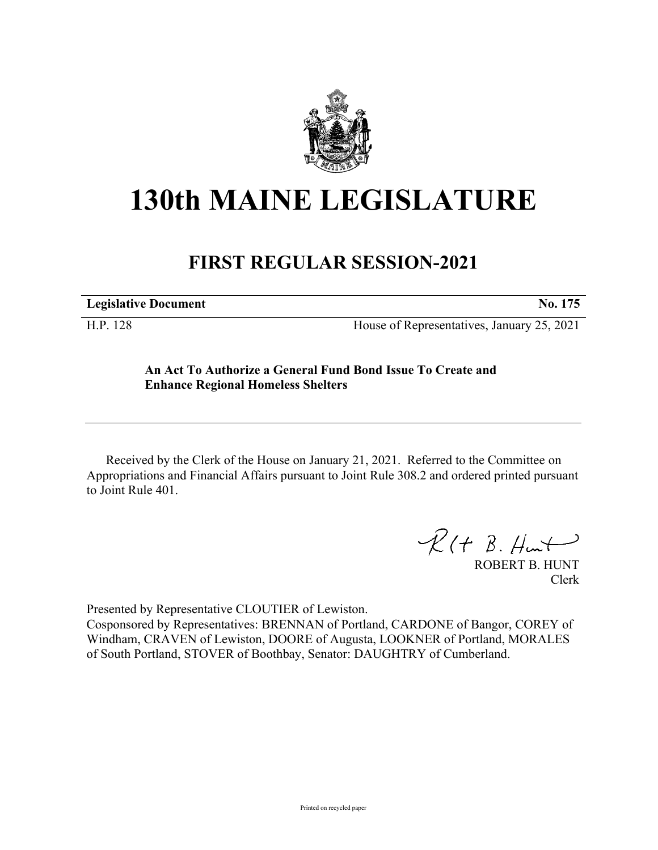

## **130th MAINE LEGISLATURE**

## **FIRST REGULAR SESSION-2021**

**Legislative Document No. 175**

H.P. 128 House of Representatives, January 25, 2021

## **An Act To Authorize a General Fund Bond Issue To Create and Enhance Regional Homeless Shelters**

Received by the Clerk of the House on January 21, 2021. Referred to the Committee on Appropriations and Financial Affairs pursuant to Joint Rule 308.2 and ordered printed pursuant to Joint Rule 401.

 $R(H B. H +$ 

ROBERT B. HUNT Clerk

Presented by Representative CLOUTIER of Lewiston.

Cosponsored by Representatives: BRENNAN of Portland, CARDONE of Bangor, COREY of Windham, CRAVEN of Lewiston, DOORE of Augusta, LOOKNER of Portland, MORALES of South Portland, STOVER of Boothbay, Senator: DAUGHTRY of Cumberland.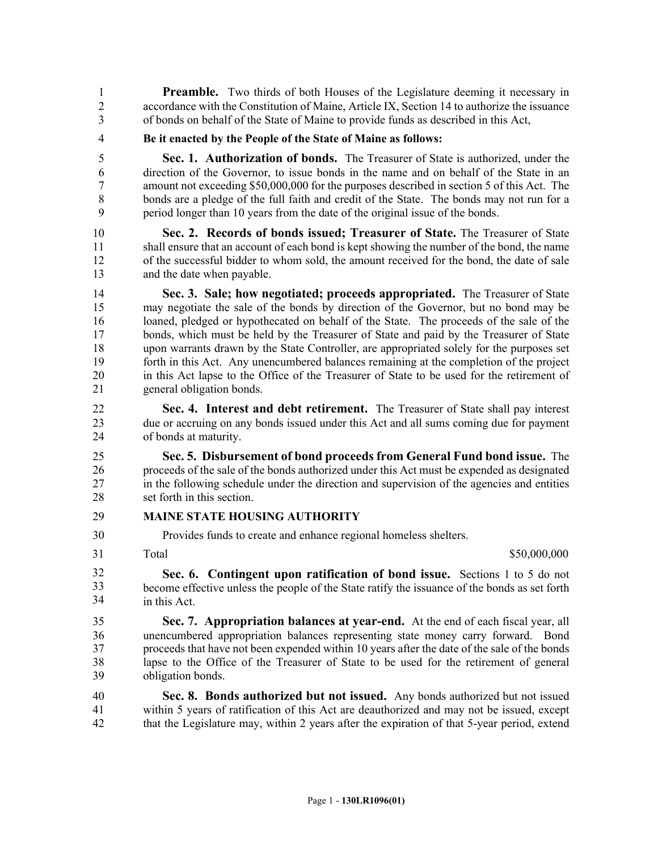**Preamble.** Two thirds of both Houses of the Legislature deeming it necessary in 2 accordance with the Constitution of Maine, Article IX, Section 14 to authorize the issuance 3 of bonds on behalf of the State of Maine to provide funds as described in this Act,

4 **Be it enacted by the People of the State of Maine as follows:**

5 **Sec. 1. Authorization of bonds.** The Treasurer of State is authorized, under the 6 direction of the Governor, to issue bonds in the name and on behalf of the State in an 7 amount not exceeding \$50,000,000 for the purposes described in section 5 of this Act. The 8 bonds are a pledge of the full faith and credit of the State. The bonds may not run for a 9 period longer than 10 years from the date of the original issue of the bonds.

10 **Sec. 2. Records of bonds issued; Treasurer of State.** The Treasurer of State 11 shall ensure that an account of each bond is kept showing the number of the bond, the name 12 of the successful bidder to whom sold, the amount received for the bond, the date of sale 13 and the date when payable.

14 **Sec. 3. Sale; how negotiated; proceeds appropriated.** The Treasurer of State 15 may negotiate the sale of the bonds by direction of the Governor, but no bond may be 16 loaned, pledged or hypothecated on behalf of the State. The proceeds of the sale of the 17 bonds, which must be held by the Treasurer of State and paid by the Treasurer of State 18 upon warrants drawn by the State Controller, are appropriated solely for the purposes set 19 forth in this Act. Any unencumbered balances remaining at the completion of the project 20 in this Act lapse to the Office of the Treasurer of State to be used for the retirement of 21 general obligation bonds.

22 **Sec. 4. Interest and debt retirement.** The Treasurer of State shall pay interest 23 due or accruing on any bonds issued under this Act and all sums coming due for payment 24 of bonds at maturity.

25 **Sec. 5. Disbursement of bond proceeds from General Fund bond issue.** The 26 proceeds of the sale of the bonds authorized under this Act must be expended as designated 27 in the following schedule under the direction and supervision of the agencies and entities 28 set forth in this section.

## 29 **MAINE STATE HOUSING AUTHORITY**

30 Provides funds to create and enhance regional homeless shelters.

31

Total \$50,000,000 \$50,000,000 \$50,000,000 \$50,000,000 \$50,000 \$50,000 \$50,000 \$50,000 \$50,000 \$50,000 \$50,000 \$

31 **Sec. 6. Contingent upon ratification of bond issue.** Sections 1 to 5 do not become effective unless the people of the State ratify the issuance of the bonds as set forth in this Act. 32 33 34

35 **Sec. 7. Appropriation balances at year-end.** At the end of each fiscal year, all 36 unencumbered appropriation balances representing state money carry forward. Bond 37 proceeds that have not been expended within 10 years after the date of the sale of the bonds 38 lapse to the Office of the Treasurer of State to be used for the retirement of general 39 obligation bonds.

40 **Sec. 8. Bonds authorized but not issued.** Any bonds authorized but not issued 41 within 5 years of ratification of this Act are deauthorized and may not be issued, except 42 that the Legislature may, within 2 years after the expiration of that 5-year period, extend